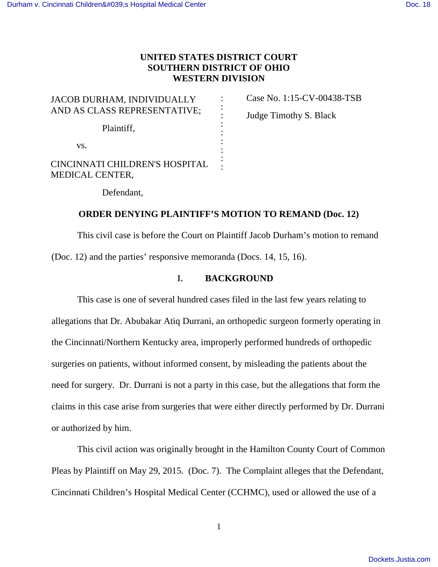# **UNITED STATES DISTRICT COURT SOUTHERN DISTRICT OF OHIO WESTERN DIVISION**

| JACOB DURHAM, INDIVIDUALLY<br>AND AS CLASS REPRESENTATIVE; |  |
|------------------------------------------------------------|--|
| Plaintiff,                                                 |  |
| VS.                                                        |  |
| CINCINNATI CHILDREN'S HOSPITAL<br><b>MEDICAL CENTER,</b>   |  |

Case No. 1:15-CV-00438-TSB Judge Timothy S. Black

Defendant,

### **ORDER DENYING PLAINTIFF'S MOTION TO REMAND (Doc. 12)**

 This civil case is before the Court on Plaintiff Jacob Durham's motion to remand (Doc. 12) and the parties' responsive memoranda (Docs. 14, 15, 16).

### **I. BACKGROUND**

 This case is one of several hundred cases filed in the last few years relating to allegations that Dr. Abubakar Atiq Durrani, an orthopedic surgeon formerly operating in the Cincinnati/Northern Kentucky area, improperly performed hundreds of orthopedic surgeries on patients, without informed consent, by misleading the patients about the need for surgery. Dr. Durrani is not a party in this case, but the allegations that form the claims in this case arise from surgeries that were either directly performed by Dr. Durrani or authorized by him.

 This civil action was originally brought in the Hamilton County Court of Common Pleas by Plaintiff on May 29, 2015. (Doc. 7). The Complaint alleges that the Defendant, Cincinnati Children's Hospital Medical Center (CCHMC), used or allowed the use of a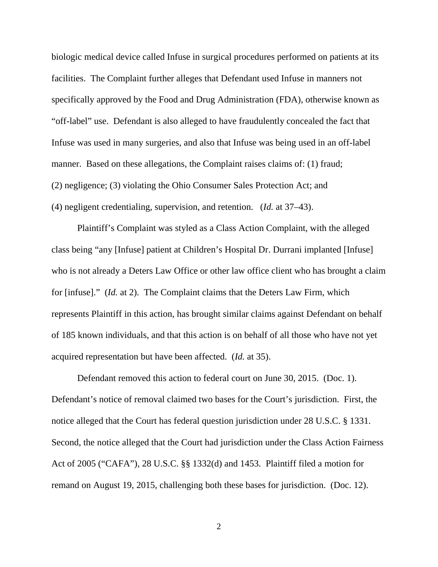biologic medical device called Infuse in surgical procedures performed on patients at its facilities. The Complaint further alleges that Defendant used Infuse in manners not specifically approved by the Food and Drug Administration (FDA), otherwise known as "off-label" use. Defendant is also alleged to have fraudulently concealed the fact that Infuse was used in many surgeries, and also that Infuse was being used in an off-label manner. Based on these allegations, the Complaint raises claims of: (1) fraud; (2) negligence; (3) violating the Ohio Consumer Sales Protection Act; and (4) negligent credentialing, supervision, and retention. (*Id.* at 37–43).

 Plaintiff's Complaint was styled as a Class Action Complaint, with the alleged class being "any [Infuse] patient at Children's Hospital Dr. Durrani implanted [Infuse] who is not already a Deters Law Office or other law office client who has brought a claim for [infuse]." (*Id.* at 2). The Complaint claims that the Deters Law Firm, which represents Plaintiff in this action, has brought similar claims against Defendant on behalf of 185 known individuals, and that this action is on behalf of all those who have not yet acquired representation but have been affected. (*Id.* at 35).

 Defendant removed this action to federal court on June 30, 2015. (Doc. 1). Defendant's notice of removal claimed two bases for the Court's jurisdiction. First, the notice alleged that the Court has federal question jurisdiction under 28 U.S.C. § 1331. Second, the notice alleged that the Court had jurisdiction under the Class Action Fairness Act of 2005 ("CAFA"), 28 U.S.C. §§ 1332(d) and 1453. Plaintiff filed a motion for remand on August 19, 2015, challenging both these bases for jurisdiction. (Doc. 12).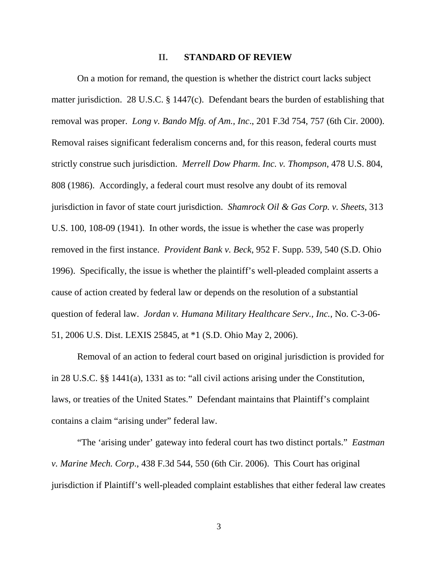#### **II. STANDARD OF REVIEW**

 On a motion for remand, the question is whether the district court lacks subject matter jurisdiction. 28 U.S.C. § 1447(c). Defendant bears the burden of establishing that removal was proper. *Long v. Bando Mfg. of Am., Inc*., 201 F.3d 754, 757 (6th Cir. 2000). Removal raises significant federalism concerns and, for this reason, federal courts must strictly construe such jurisdiction. *Merrell Dow Pharm. Inc. v. Thompson*, 478 U.S. 804, 808 (1986). Accordingly, a federal court must resolve any doubt of its removal jurisdiction in favor of state court jurisdiction. *Shamrock Oil & Gas Corp. v. Sheets*, 313 U.S. 100, 108-09 (1941). In other words, the issue is whether the case was properly removed in the first instance. *Provident Bank v. Beck*, 952 F. Supp. 539, 540 (S.D. Ohio 1996). Specifically, the issue is whether the plaintiff's well-pleaded complaint asserts a cause of action created by federal law or depends on the resolution of a substantial question of federal law. *Jordan v. Humana Military Healthcare Serv., Inc.*, No. C-3-06- 51, 2006 U.S. Dist. LEXIS 25845, at \*1 (S.D. Ohio May 2, 2006).

 Removal of an action to federal court based on original jurisdiction is provided for in 28 U.S.C. §§ 1441(a), 1331 as to: "all civil actions arising under the Constitution, laws, or treaties of the United States." Defendant maintains that Plaintiff's complaint contains a claim "arising under" federal law.

 "The 'arising under' gateway into federal court has two distinct portals." *Eastman v. Marine Mech. Corp*., 438 F.3d 544, 550 (6th Cir. 2006). This Court has original jurisdiction if Plaintiff's well-pleaded complaint establishes that either federal law creates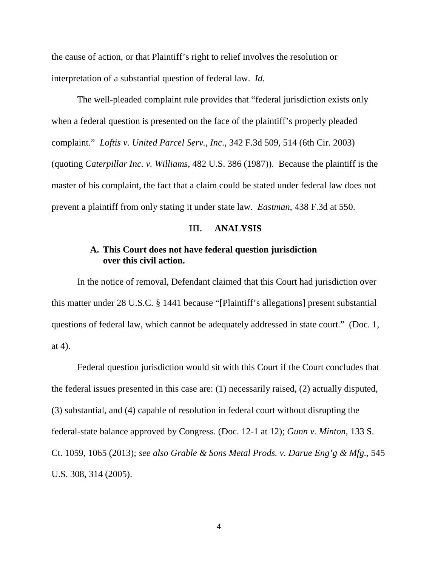the cause of action, or that Plaintiff's right to relief involves the resolution or interpretation of a substantial question of federal law. *Id.*

 The well-pleaded complaint rule provides that "federal jurisdiction exists only when a federal question is presented on the face of the plaintiff's properly pleaded complaint." *Loftis v. United Parcel Serv., Inc*., 342 F.3d 509, 514 (6th Cir. 2003) (quoting *Caterpillar Inc. v. Williams*, 482 U.S. 386 (1987)). Because the plaintiff is the master of his complaint, the fact that a claim could be stated under federal law does not prevent a plaintiff from only stating it under state law. *Eastman*, 438 F.3d at 550.

### **III. ANALYSIS**

### **A. This Court does not have federal question jurisdiction over this civil action.**

 In the notice of removal, Defendant claimed that this Court had jurisdiction over this matter under 28 U.S.C. § 1441 because "[Plaintiff's allegations] present substantial questions of federal law, which cannot be adequately addressed in state court." (Doc. 1, at 4).

 Federal question jurisdiction would sit with this Court if the Court concludes that the federal issues presented in this case are: (1) necessarily raised, (2) actually disputed, (3) substantial, and (4) capable of resolution in federal court without disrupting the federal-state balance approved by Congress. (Doc. 12-1 at 12); *Gunn v. Minton*, 133 S. Ct. 1059, 1065 (2013); *see also Grable & Sons Metal Prods. v. Darue Eng'g & Mfg.*, 545 U.S. 308, 314 (2005).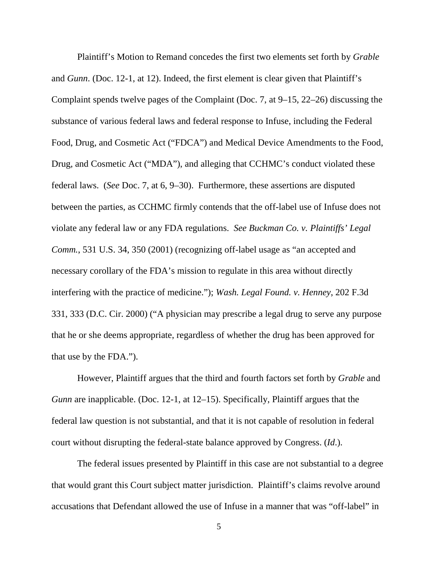Plaintiff's Motion to Remand concedes the first two elements set forth by *Grable*  and *Gunn*. (Doc. 12-1, at 12). Indeed, the first element is clear given that Plaintiff's Complaint spends twelve pages of the Complaint (Doc. 7, at 9–15, 22–26) discussing the substance of various federal laws and federal response to Infuse, including the Federal Food, Drug, and Cosmetic Act ("FDCA") and Medical Device Amendments to the Food, Drug, and Cosmetic Act ("MDA"), and alleging that CCHMC's conduct violated these federal laws. (*See* Doc. 7, at 6, 9–30).Furthermore, these assertions are disputed between the parties, as CCHMC firmly contends that the off-label use of Infuse does not violate any federal law or any FDA regulations. *See Buckman Co. v. Plaintiffs' Legal Comm.*, 531 U.S. 34, 350 (2001) (recognizing off-label usage as "an accepted and necessary corollary of the FDA's mission to regulate in this area without directly interfering with the practice of medicine."); *Wash. Legal Found. v. Henney*, 202 F.3d 331, 333 (D.C. Cir. 2000) ("A physician may prescribe a legal drug to serve any purpose that he or she deems appropriate, regardless of whether the drug has been approved for that use by the FDA.").

 However, Plaintiff argues that the third and fourth factors set forth by *Grable* and *Gunn* are inapplicable. (Doc. 12-1, at 12–15). Specifically, Plaintiff argues that the federal law question is not substantial, and that it is not capable of resolution in federal court without disrupting the federal-state balance approved by Congress. (*Id*.).

 The federal issues presented by Plaintiff in this case are not substantial to a degree that would grant this Court subject matter jurisdiction. Plaintiff's claims revolve around accusations that Defendant allowed the use of Infuse in a manner that was "off-label" in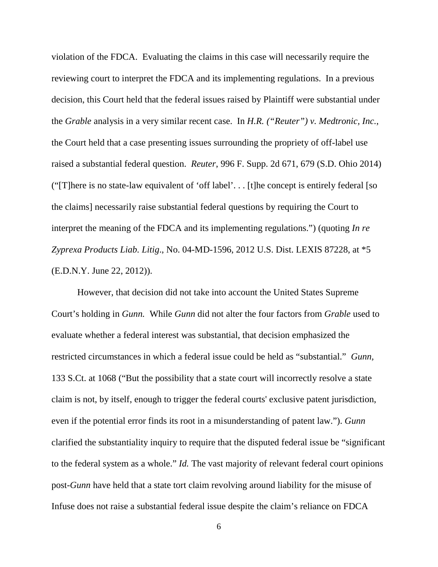violation of the FDCA. Evaluating the claims in this case will necessarily require the reviewing court to interpret the FDCA and its implementing regulations. In a previous decision, this Court held that the federal issues raised by Plaintiff were substantial under the *Grable* analysis in a very similar recent case. In *H.R. ("Reuter") v. Medtronic, Inc.*, the Court held that a case presenting issues surrounding the propriety of off-label use raised a substantial federal question. *Reuter*, 996 F. Supp. 2d 671, 679 (S.D. Ohio 2014) ("[T]here is no state-law equivalent of 'off label'. . . [t]he concept is entirely federal [so the claims] necessarily raise substantial federal questions by requiring the Court to interpret the meaning of the FDCA and its implementing regulations.") (quoting *In re Zyprexa Products Liab. Litig*., No. 04-MD-1596, 2012 U.S. Dist. LEXIS 87228, at \*5 (E.D.N.Y. June 22, 2012)).

 However, that decision did not take into account the United States Supreme Court's holding in *Gunn.* While *Gunn* did not alter the four factors from *Grable* used to evaluate whether a federal interest was substantial, that decision emphasized the restricted circumstances in which a federal issue could be held as "substantial." *Gunn,* 133 S.Ct. at 1068 ("But the possibility that a state court will incorrectly resolve a state claim is not, by itself, enough to trigger the federal courts' exclusive patent jurisdiction, even if the potential error finds its root in a misunderstanding of patent law."). *Gunn* clarified the substantiality inquiry to require that the disputed federal issue be "significant to the federal system as a whole." *Id.* The vast majority of relevant federal court opinions post-*Gunn* have held that a state tort claim revolving around liability for the misuse of Infuse does not raise a substantial federal issue despite the claim's reliance on FDCA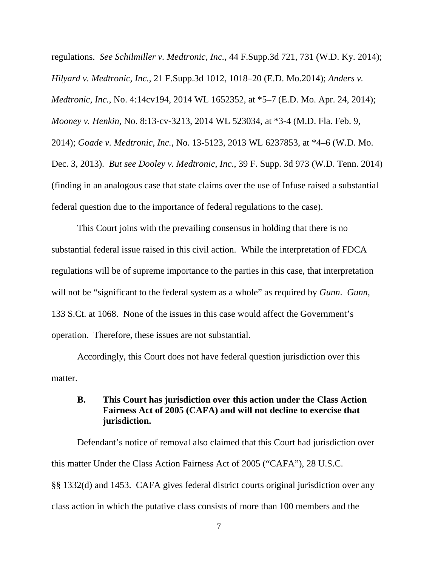regulations. *See Schilmiller v. Medtronic, Inc.*, 44 F.Supp.3d 721, 731 (W.D. Ky. 2014); *Hilyard v. Medtronic, Inc.*, 21 F.Supp.3d 1012, 1018–20 (E.D. Mo.2014); *Anders v. Medtronic, Inc.*, No. 4:14cv194, 2014 WL 1652352, at \*5–7 (E.D. Mo. Apr. 24, 2014); *Mooney v. Henkin*, No. 8:13-cv-3213, 2014 WL 523034, at \*3-4 (M.D. Fla. Feb. 9, 2014); *Goade v. Medtronic, Inc.*, No. 13-5123, 2013 WL 6237853, at \*4–6 (W.D. Mo. Dec. 3, 2013). *But see Dooley v. Medtronic, Inc.*, 39 F. Supp. 3d 973 (W.D. Tenn. 2014) (finding in an analogous case that state claims over the use of Infuse raised a substantial federal question due to the importance of federal regulations to the case).

 This Court joins with the prevailing consensus in holding that there is no substantial federal issue raised in this civil action. While the interpretation of FDCA regulations will be of supreme importance to the parties in this case, that interpretation will not be "significant to the federal system as a whole" as required by *Gunn*. *Gunn,* 133 S.Ct. at 1068. None of the issues in this case would affect the Government's operation. Therefore, these issues are not substantial.

 Accordingly, this Court does not have federal question jurisdiction over this matter.

## **B. This Court has jurisdiction over this action under the Class Action Fairness Act of 2005 (CAFA) and will not decline to exercise that jurisdiction.**

 Defendant's notice of removal also claimed that this Court had jurisdiction over this matter Under the Class Action Fairness Act of 2005 ("CAFA"), 28 U.S.C. §§ 1332(d) and 1453. CAFA gives federal district courts original jurisdiction over any class action in which the putative class consists of more than 100 members and the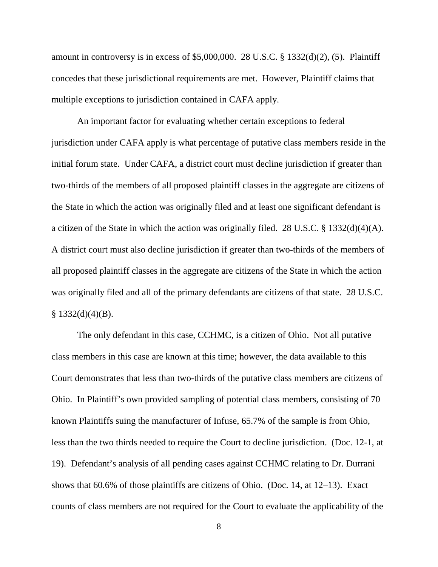amount in controversy is in excess of \$5,000,000. 28 U.S.C. §  $1332(d)(2)$ , (5). Plaintiff concedes that these jurisdictional requirements are met. However, Plaintiff claims that multiple exceptions to jurisdiction contained in CAFA apply.

 An important factor for evaluating whether certain exceptions to federal jurisdiction under CAFA apply is what percentage of putative class members reside in the initial forum state. Under CAFA, a district court must decline jurisdiction if greater than two-thirds of the members of all proposed plaintiff classes in the aggregate are citizens of the State in which the action was originally filed and at least one significant defendant is a citizen of the State in which the action was originally filed. 28 U.S.C. § 1332(d)(4)(A). A district court must also decline jurisdiction if greater than two-thirds of the members of all proposed plaintiff classes in the aggregate are citizens of the State in which the action was originally filed and all of the primary defendants are citizens of that state. 28 U.S.C.  $§ 1332(d)(4)(B).$ 

 The only defendant in this case, CCHMC, is a citizen of Ohio. Not all putative class members in this case are known at this time; however, the data available to this Court demonstrates that less than two-thirds of the putative class members are citizens of Ohio. In Plaintiff's own provided sampling of potential class members, consisting of 70 known Plaintiffs suing the manufacturer of Infuse, 65.7% of the sample is from Ohio, less than the two thirds needed to require the Court to decline jurisdiction. (Doc. 12-1, at 19). Defendant's analysis of all pending cases against CCHMC relating to Dr. Durrani shows that 60.6% of those plaintiffs are citizens of Ohio. (Doc. 14, at 12–13). Exact counts of class members are not required for the Court to evaluate the applicability of the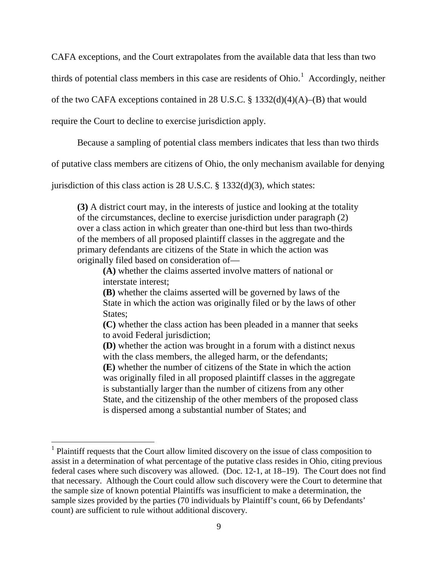CAFA exceptions, and the Court extrapolates from the available data that less than two

thirds of potential class members in this case are residents of Ohio.<sup>1</sup> Accordingly, neither

of the two CAFA exceptions contained in 28 U.S.C. § 1332(d)(4)(A)–(B) that would

require the Court to decline to exercise jurisdiction apply.

<u>.</u>

Because a sampling of potential class members indicates that less than two thirds

of putative class members are citizens of Ohio, the only mechanism available for denying

jurisdiction of this class action is  $28 \text{ U.S.C. }$  §  $1332(d)(3)$ , which states:

**(3)** A district court may, in the interests of justice and looking at the totality of the circumstances, decline to exercise jurisdiction under paragraph (2) over a class action in which greater than one-third but less than two-thirds of the members of all proposed plaintiff classes in the aggregate and the primary defendants are citizens of the State in which the action was originally filed based on consideration of—

 **(A)** whether the claims asserted involve matters of national or interstate interest;

 **(B)** whether the claims asserted will be governed by laws of the State in which the action was originally filed or by the laws of other States;

 **(C)** whether the class action has been pleaded in a manner that seeks to avoid Federal jurisdiction;

 **(D)** whether the action was brought in a forum with a distinct nexus with the class members, the alleged harm, or the defendants;

 **(E)** whether the number of citizens of the State in which the action was originally filed in all proposed plaintiff classes in the aggregate is substantially larger than the number of citizens from any other State, and the citizenship of the other members of the proposed class is dispersed among a substantial number of States; and

<sup>&</sup>lt;sup>1</sup> Plaintiff requests that the Court allow limited discovery on the issue of class composition to assist in a determination of what percentage of the putative class resides in Ohio, citing previous federal cases where such discovery was allowed. (Doc. 12-1, at 18–19). The Court does not find that necessary. Although the Court could allow such discovery were the Court to determine that the sample size of known potential Plaintiffs was insufficient to make a determination, the sample sizes provided by the parties (70 individuals by Plaintiff's count, 66 by Defendants' count) are sufficient to rule without additional discovery.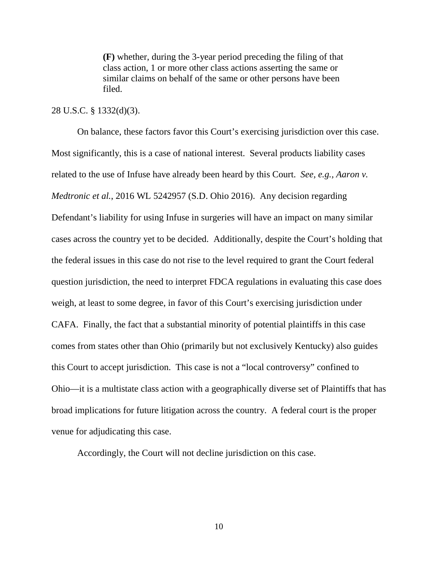**(F)** whether, during the 3-year period preceding the filing of that class action, 1 or more other class actions asserting the same or similar claims on behalf of the same or other persons have been filed.

### 28 U.S.C. § 1332(d)(3).

 On balance, these factors favor this Court's exercising jurisdiction over this case. Most significantly, this is a case of national interest. Several products liability cases related to the use of Infuse have already been heard by this Court. *See, e.g., Aaron v. Medtronic et al.*, 2016 WL 5242957 (S.D. Ohio 2016). Any decision regarding Defendant's liability for using Infuse in surgeries will have an impact on many similar cases across the country yet to be decided. Additionally, despite the Court's holding that the federal issues in this case do not rise to the level required to grant the Court federal question jurisdiction, the need to interpret FDCA regulations in evaluating this case does weigh, at least to some degree, in favor of this Court's exercising jurisdiction under CAFA. Finally, the fact that a substantial minority of potential plaintiffs in this case comes from states other than Ohio (primarily but not exclusively Kentucky) also guides this Court to accept jurisdiction. This case is not a "local controversy" confined to Ohio—it is a multistate class action with a geographically diverse set of Plaintiffs that has broad implications for future litigation across the country. A federal court is the proper venue for adjudicating this case.

Accordingly, the Court will not decline jurisdiction on this case.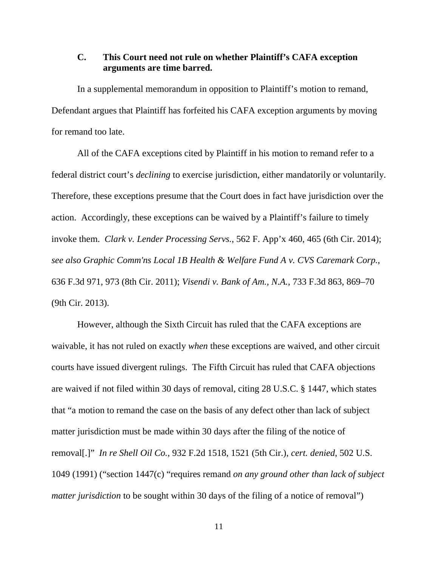## **C. This Court need not rule on whether Plaintiff's CAFA exception arguments are time barred.**

 In a supplemental memorandum in opposition to Plaintiff's motion to remand, Defendant argues that Plaintiff has forfeited his CAFA exception arguments by moving for remand too late.

 All of the CAFA exceptions cited by Plaintiff in his motion to remand refer to a federal district court's *declining* to exercise jurisdiction, either mandatorily or voluntarily. Therefore, these exceptions presume that the Court does in fact have jurisdiction over the action. Accordingly, these exceptions can be waived by a Plaintiff's failure to timely invoke them. *Clark v. Lender Processing Servs.*, 562 F. App'x 460, 465 (6th Cir. 2014); *see also Graphic Comm'ns Local 1B Health & Welfare Fund A v. CVS Caremark Corp.*, 636 F.3d 971, 973 (8th Cir. 2011); *Visendi v. Bank of Am., N.A.*, 733 F.3d 863, 869–70 (9th Cir. 2013).

 However, although the Sixth Circuit has ruled that the CAFA exceptions are waivable, it has not ruled on exactly *when* these exceptions are waived, and other circuit courts have issued divergent rulings. The Fifth Circuit has ruled that CAFA objections are waived if not filed within 30 days of removal, citing 28 U.S.C. § 1447, which states that "a motion to remand the case on the basis of any defect other than lack of subject matter jurisdiction must be made within 30 days after the filing of the notice of removal[.]" *In re Shell Oil Co.*, 932 F.2d 1518, 1521 (5th Cir.), *cert. denied*, 502 U.S. 1049 (1991) ("section 1447(c) "requires remand *on any ground other than lack of subject matter jurisdiction* to be sought within 30 days of the filing of a notice of removal")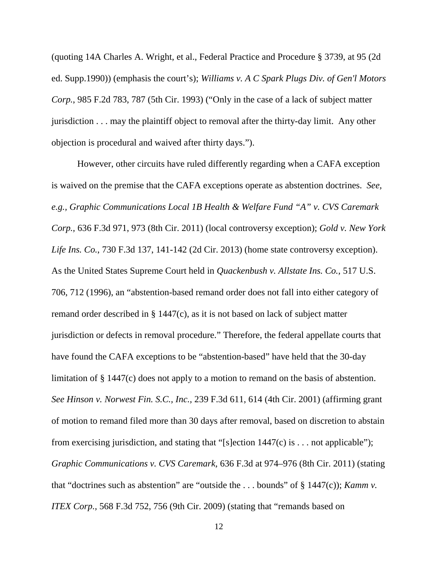(quoting 14A Charles A. Wright, et al., Federal Practice and Procedure § 3739, at 95 (2d ed. Supp.1990)) (emphasis the court's); *Williams v. A C Spark Plugs Div. of Gen'l Motors Corp.*, 985 F.2d 783, 787 (5th Cir. 1993) ("Only in the case of a lack of subject matter jurisdiction . . . may the plaintiff object to removal after the thirty-day limit. Any other objection is procedural and waived after thirty days.").

 However, other circuits have ruled differently regarding when a CAFA exception is waived on the premise that the CAFA exceptions operate as abstention doctrines. *See, e.g., Graphic Communications Local 1B Health & Welfare Fund "A" v. CVS Caremark Corp.,* 636 F.3d 971, 973 (8th Cir. 2011) (local controversy exception); *Gold v. New York Life Ins. Co.*, 730 F.3d 137, 141-142 (2d Cir. 2013) (home state controversy exception). As the United States Supreme Court held in *Quackenbush v. Allstate Ins. Co.,* 517 U.S. 706, 712 (1996), an "abstention-based remand order does not fall into either category of remand order described in § 1447(c), as it is not based on lack of subject matter jurisdiction or defects in removal procedure." Therefore, the federal appellate courts that have found the CAFA exceptions to be "abstention-based" have held that the 30-day limitation of § 1447(c) does not apply to a motion to remand on the basis of abstention. *See Hinson v. Norwest Fin. S.C., Inc.,* 239 F.3d 611, 614 (4th Cir. 2001) (affirming grant of motion to remand filed more than 30 days after removal, based on discretion to abstain from exercising jurisdiction, and stating that "[s]ection  $1447(c)$  is ... not applicable"); *Graphic Communications v. CVS Caremark,* 636 F.3d at 974–976 (8th Cir. 2011) (stating that "doctrines such as abstention" are "outside the . . . bounds" of § 1447(c)); *Kamm v. ITEX Corp.,* 568 F.3d 752, 756 (9th Cir. 2009) (stating that "remands based on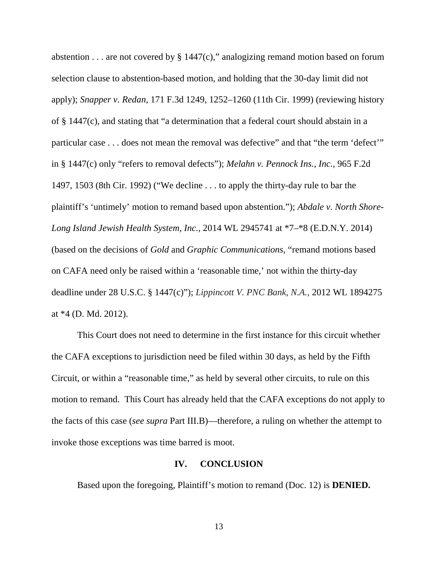abstention  $\dots$  are not covered by § 1447(c)," analogizing remand motion based on forum selection clause to abstention-based motion, and holding that the 30-day limit did not apply); *Snapper v. Redan,* 171 F.3d 1249, 1252–1260 (11th Cir. 1999) (reviewing history of § 1447(c), and stating that "a determination that a federal court should abstain in a particular case . . . does not mean the removal was defective" and that "the term 'defect'" in § 1447(c) only "refers to removal defects"); *Melahn v. Pennock Ins., Inc.,* 965 F.2d 1497, 1503 (8th Cir. 1992) ("We decline . . . to apply the thirty-day rule to bar the plaintiff's 'untimely' motion to remand based upon abstention."); *Abdale v. North Shore-Long Island Jewish Health System, Inc.,* 2014 WL 2945741 at \*7–\*8 (E.D.N.Y. 2014) (based on the decisions of *Gold* and *Graphic Communications*, "remand motions based on CAFA need only be raised within a 'reasonable time,' not within the thirty-day deadline under 28 U.S.C. § 1447(c)"); *Lippincott V. PNC Bank, N.A.,* 2012 WL 1894275 at \*4 (D. Md. 2012).

 This Court does not need to determine in the first instance for this circuit whether the CAFA exceptions to jurisdiction need be filed within 30 days, as held by the Fifth Circuit, or within a "reasonable time," as held by several other circuits, to rule on this motion to remand. This Court has already held that the CAFA exceptions do not apply to the facts of this case (*see supra* Part III.B)—therefore, a ruling on whether the attempt to invoke those exceptions was time barred is moot.

#### **IV. CONCLUSION**

Based upon the foregoing, Plaintiff's motion to remand (Doc. 12) is **DENIED.**